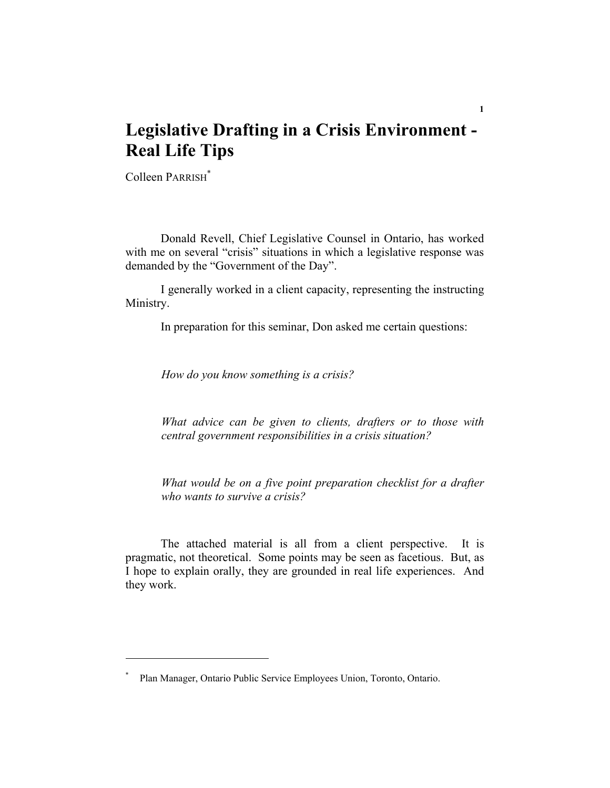# **Legislative Drafting in a Crisis Environment - Real Life Tips**

Colleen PARRISH\*

 Donald Revell, Chief Legislative Counsel in Ontario, has worked with me on several "crisis" situations in which a legislative response was demanded by the "Government of the Day".

 I generally worked in a client capacity, representing the instructing Ministry.

In preparation for this seminar, Don asked me certain questions:

*How do you know something is a crisis?* 

*What advice can be given to clients, drafters or to those with central government responsibilities in a crisis situation?* 

*What would be on a five point preparation checklist for a drafter who wants to survive a crisis?* 

 The attached material is all from a client perspective. It is pragmatic, not theoretical. Some points may be seen as facetious. But, as I hope to explain orally, they are grounded in real life experiences. And they work.

<sup>\*</sup> Plan Manager, Ontario Public Service Employees Union, Toronto, Ontario.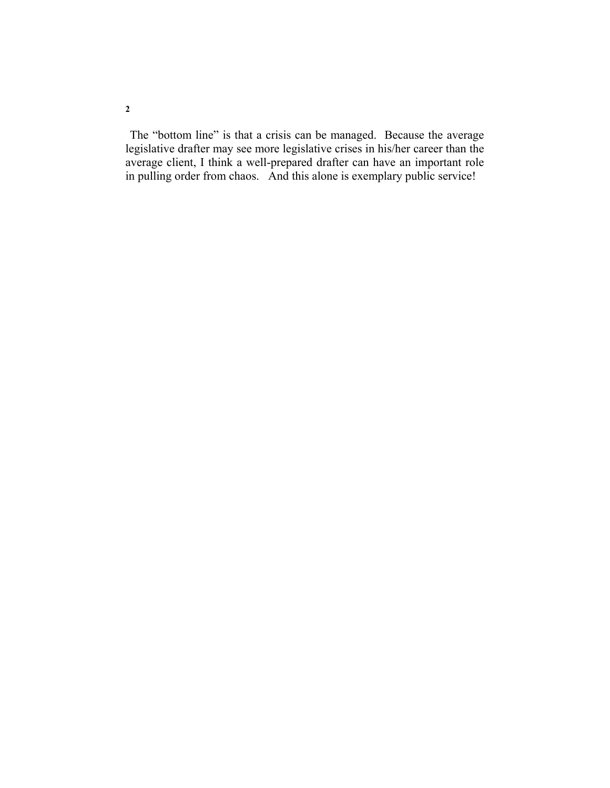The "bottom line" is that a crisis can be managed. Because the average legislative drafter may see more legislative crises in his/her career than the average client, I think a well-prepared drafter can have an important role in pulling order from chaos. And this alone is exemplary public service!

**2**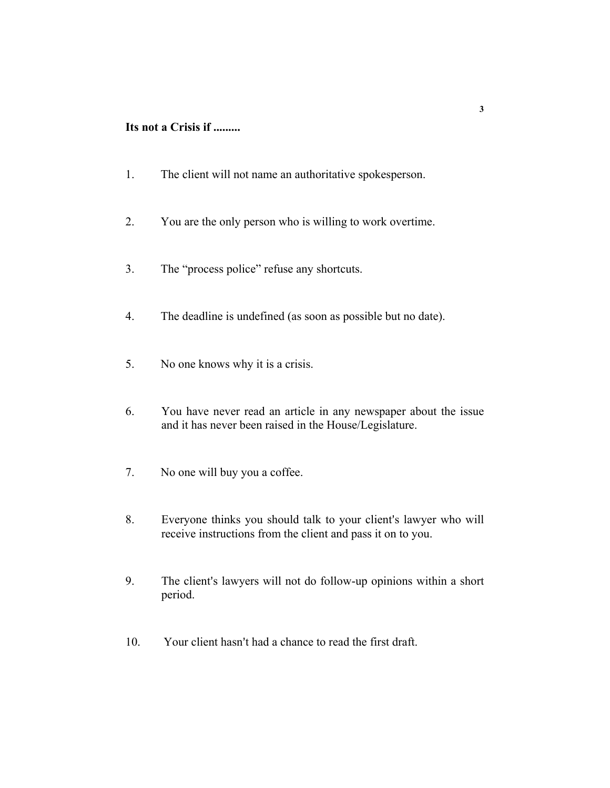### **Its not a Crisis if .........**

- 1. The client will not name an authoritative spokesperson.
- 2. You are the only person who is willing to work overtime.
- 3. The "process police" refuse any shortcuts.
- 4. The deadline is undefined (as soon as possible but no date).
- 5. No one knows why it is a crisis.
- 6. You have never read an article in any newspaper about the issue and it has never been raised in the House/Legislature.
- 7. No one will buy you a coffee.
- 8. Everyone thinks you should talk to your client's lawyer who will receive instructions from the client and pass it on to you.
- 9. The client's lawyers will not do follow-up opinions within a short period.
- 10. Your client hasn't had a chance to read the first draft.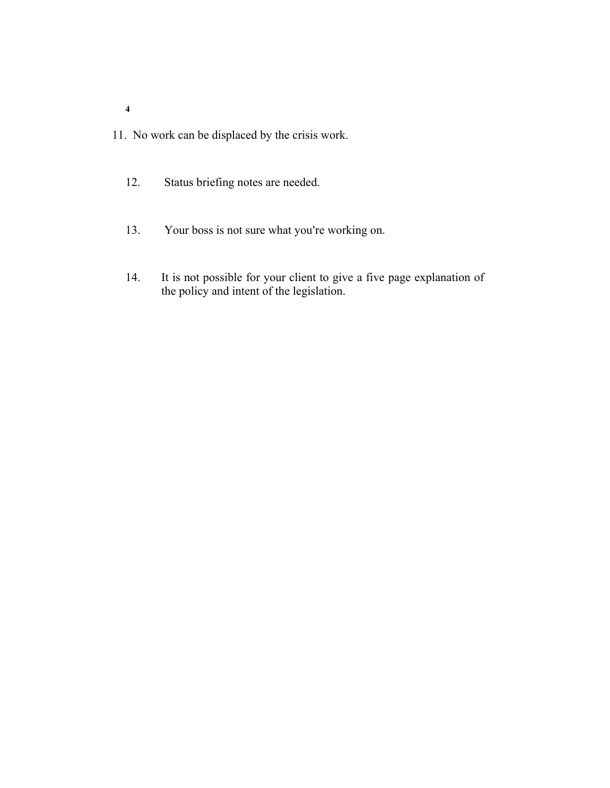- 11. No work can be displaced by the crisis work.
	- 12. Status briefing notes are needed.
	- 13. Your boss is not sure what you're working on.
	- 14. It is not possible for your client to give a five page explanation of the policy and intent of the legislation.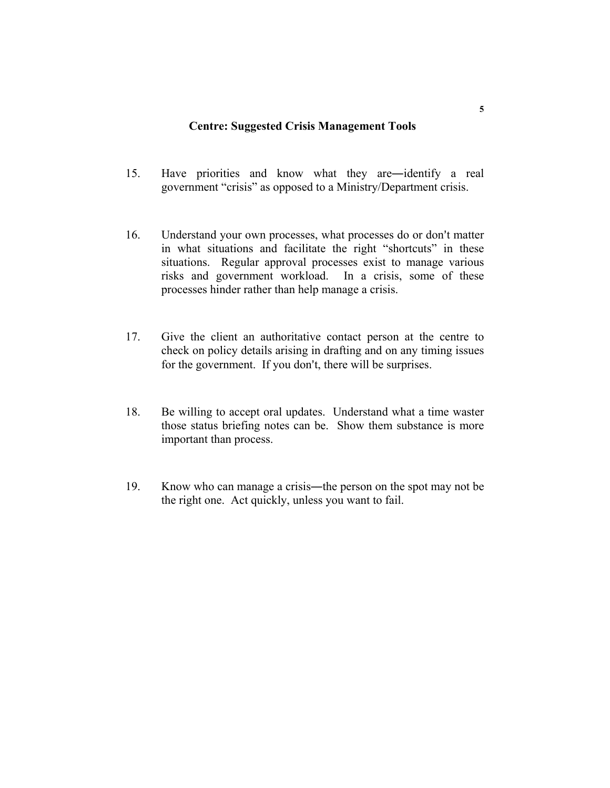#### **Centre: Suggested Crisis Management Tools**

- 15. Have priorities and know what they are―identify a real government "crisis" as opposed to a Ministry/Department crisis.
- 16. Understand your own processes, what processes do or don't matter in what situations and facilitate the right "shortcuts" in these situations. Regular approval processes exist to manage various risks and government workload. In a crisis, some of these processes hinder rather than help manage a crisis.
- 17. Give the client an authoritative contact person at the centre to check on policy details arising in drafting and on any timing issues for the government. If you don't, there will be surprises.
- 18. Be willing to accept oral updates. Understand what a time waster those status briefing notes can be. Show them substance is more important than process.
- 19. Know who can manage a crisis―the person on the spot may not be the right one. Act quickly, unless you want to fail.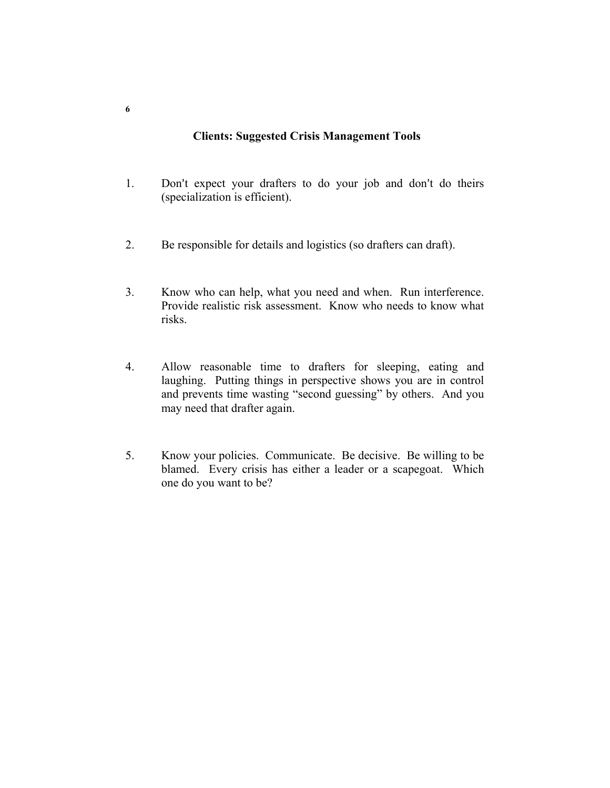### **Clients: Suggested Crisis Management Tools**

- 1. Don't expect your drafters to do your job and don't do theirs (specialization is efficient).
- 2. Be responsible for details and logistics (so drafters can draft).
- 3. Know who can help, what you need and when. Run interference. Provide realistic risk assessment. Know who needs to know what risks.
- 4. Allow reasonable time to drafters for sleeping, eating and laughing. Putting things in perspective shows you are in control and prevents time wasting "second guessing" by others. And you may need that drafter again.
- 5. Know your policies. Communicate. Be decisive. Be willing to be blamed. Every crisis has either a leader or a scapegoat. Which one do you want to be?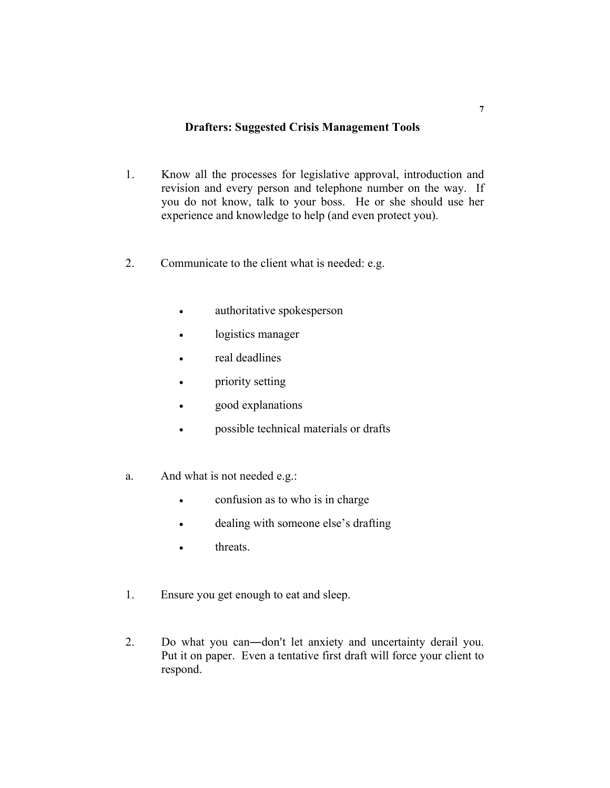### **Drafters: Suggested Crisis Management Tools**

- 1. Know all the processes for legislative approval, introduction and revision and every person and telephone number on the way. If you do not know, talk to your boss. He or she should use her experience and knowledge to help (and even protect you).
- 2. Communicate to the client what is needed: e.g.
	- authoritative spokesperson
	- logistics manager
	- real deadlines
	- priority setting
	- good explanations
	- possible technical materials or drafts
- a. And what is not needed e.g.:
	- confusion as to who is in charge
	- dealing with someone else's drafting
	- threats
- 1. Ensure you get enough to eat and sleep.
- 2. Do what you can—don't let anxiety and uncertainty derail you. Put it on paper. Even a tentative first draft will force your client to respond.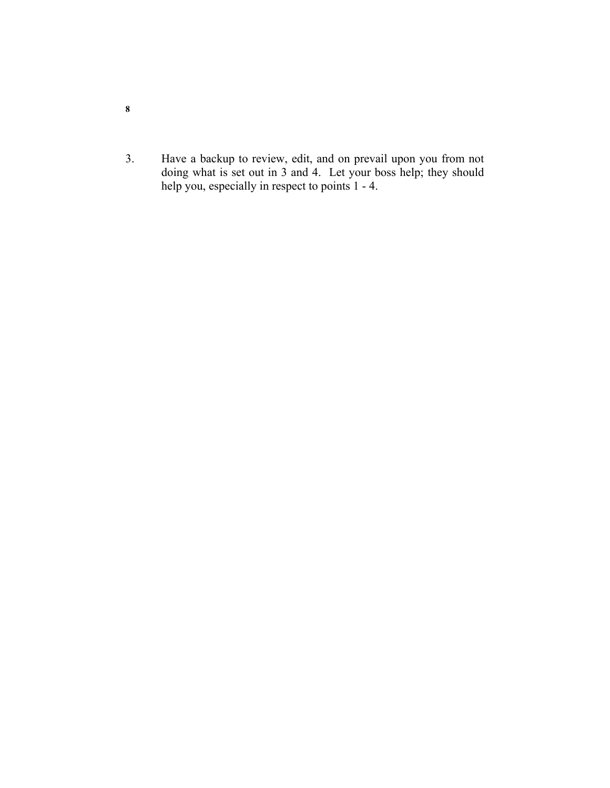- 3. Have a backup to review, edit, and on prevail upon you from not doing what is set out in 3 and 4. Let your boss help; they should help you, especially in respect to points 1 - 4.
- **8**